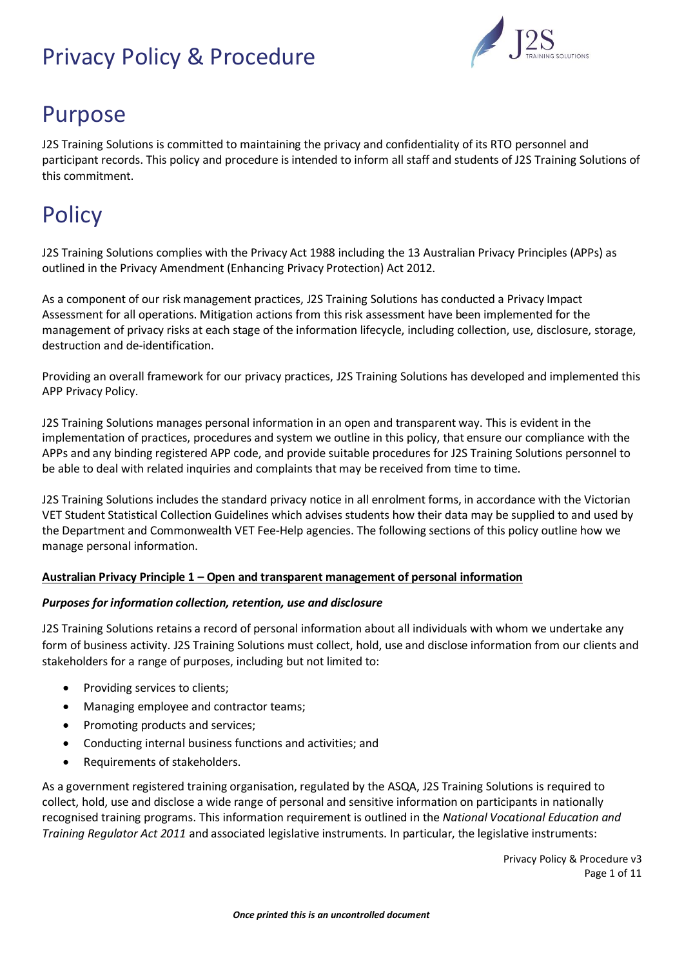

# Purpose

J2S Training Solutions is committed to maintaining the privacy and confidentiality of its RTO personnel and participant records. This policy and procedure is intended to inform all staff and students of J2S Training Solutions of this commitment.

# **Policy**

J2S Training Solutions complies with the Privacy Act 1988 including the 13 Australian Privacy Principles (APPs) as outlined in the Privacy Amendment (Enhancing Privacy Protection) Act 2012.

As a component of our risk management practices, J2S Training Solutions has conducted a Privacy Impact Assessment for all operations. Mitigation actions from this risk assessment have been implemented for the management of privacy risks at each stage of the information lifecycle, including collection, use, disclosure, storage, destruction and de-identification.

Providing an overall framework for our privacy practices, J2S Training Solutions has developed and implemented this APP Privacy Policy.

J2S Training Solutions manages personal information in an open and transparent way. This is evident in the implementation of practices, procedures and system we outline in this policy, that ensure our compliance with the APPs and any binding registered APP code, and provide suitable procedures for J2S Training Solutions personnel to be able to deal with related inquiries and complaints that may be received from time to time.

J2S Training Solutions includes the standard privacy notice in all enrolment forms, in accordance with the Victorian VET Student Statistical Collection Guidelines which advises students how their data may be supplied to and used by the Department and Commonwealth VET Fee-Help agencies. The following sections of this policy outline how we manage personal information.

## **Australian Privacy Principle 1 – Open and transparent management of personal information**

## *Purposes for information collection, retention, use and disclosure*

J2S Training Solutions retains a record of personal information about all individuals with whom we undertake any form of business activity. J2S Training Solutions must collect, hold, use and disclose information from our clients and stakeholders for a range of purposes, including but not limited to:

- Providing services to clients;
- Managing employee and contractor teams;
- Promoting products and services:
- Conducting internal business functions and activities; and
- Requirements of stakeholders.

As a government registered training organisation, regulated by the ASQA, J2S Training Solutions is required to collect, hold, use and disclose a wide range of personal and sensitive information on participants in nationally recognised training programs. This information requirement is outlined in the *National Vocational Education and Training Regulator Act 2011* and associated legislative instruments. In particular, the legislative instruments: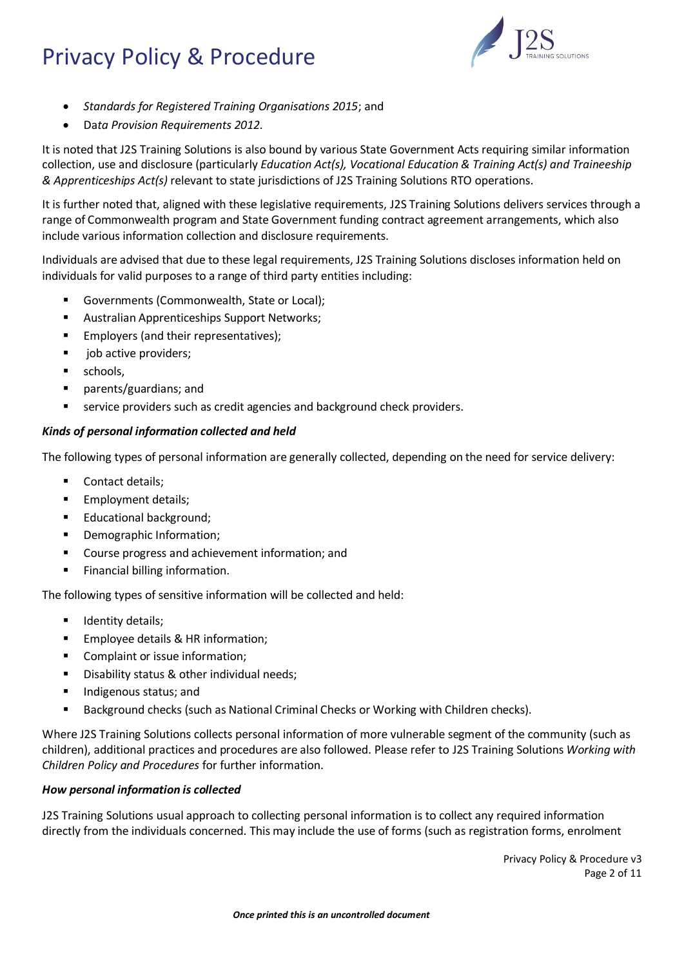

- *Standards for Registered Training Organisations 2015*; and
- Da*ta Provision Requirements 2012.*

It is noted that J2S Training Solutions is also bound by various State Government Acts requiring similar information collection, use and disclosure (particularly *Education Act(s), Vocational Education & Training Act(s) and Traineeship & Apprenticeships Act(s)* relevant to state jurisdictions of J2S Training Solutions RTO operations.

It is further noted that, aligned with these legislative requirements, J2S Training Solutions delivers services through a range of Commonwealth program and State Government funding contract agreement arrangements, which also include various information collection and disclosure requirements.

Individuals are advised that due to these legal requirements, J2S Training Solutions discloses information held on individuals for valid purposes to a range of third party entities including:

- Governments (Commonwealth, State or Local);
- Australian Apprenticeships Support Networks;
- **Employers (and their representatives);**
- job active providers;
- **■** schools,
- parents/guardians; and
- service providers such as credit agencies and background check providers.

## *Kinds of personal information collected and held*

The following types of personal information are generally collected, depending on the need for service delivery:

- Contact details;
- **■** Employment details;
- Educational background;
- Demographic Information;
- Course progress and achievement information; and
- Financial billing information.

The following types of sensitive information will be collected and held:

- **■** Identity details;
- Employee details & HR information;
- Complaint or issue information;
- Disability status & other individual needs;
- Indigenous status; and
- Background checks (such as National Criminal Checks or Working with Children checks).

Where J2S Training Solutions collects personal information of more vulnerable segment of the community (such as children), additional practices and procedures are also followed. Please refer to J2S Training Solutions *Working with Children Policy and Procedures* for further information.

## *How personal information is collected*

J2S Training Solutions usual approach to collecting personal information is to collect any required information directly from the individuals concerned. This may include the use of forms (such as registration forms, enrolment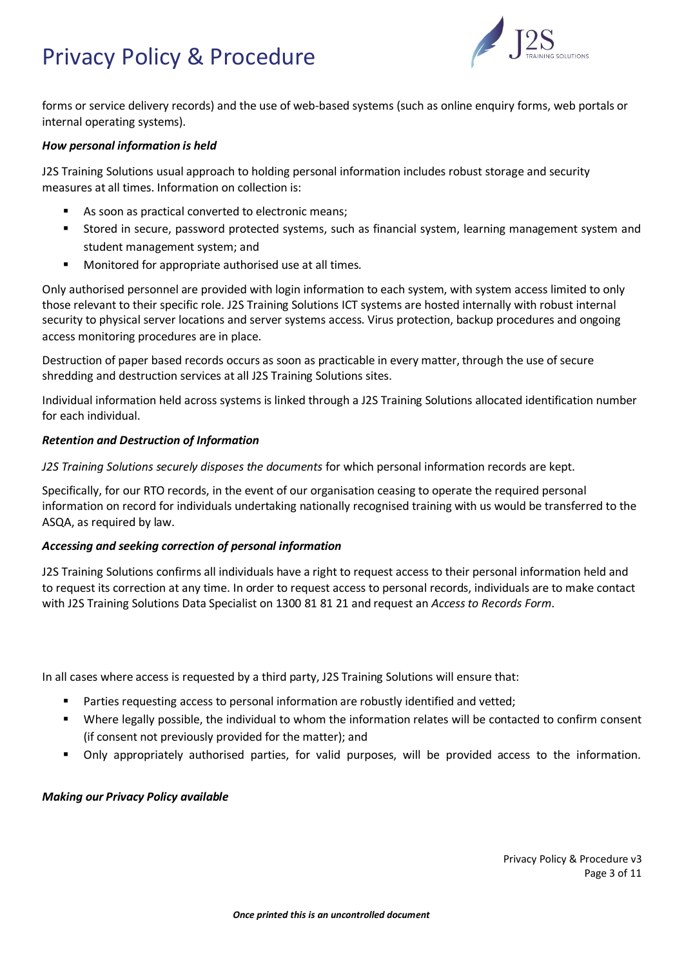

forms or service delivery records) and the use of web-based systems (such as online enquiry forms, web portals or internal operating systems).

#### *How personal information is held*

J2S Training Solutions usual approach to holding personal information includes robust storage and security measures at all times. Information on collection is:

- As soon as practical converted to electronic means;
- Stored in secure, password protected systems, such as financial system, learning management system and student management system; and
- Monitored for appropriate authorised use at all times.

Only authorised personnel are provided with login information to each system, with system access limited to only those relevant to their specific role. J2S Training Solutions ICT systems are hosted internally with robust internal security to physical server locations and server systems access. Virus protection, backup procedures and ongoing access monitoring procedures are in place.

Destruction of paper based records occurs as soon as practicable in every matter, through the use of secure shredding and destruction services at all J2S Training Solutions sites.

Individual information held across systems is linked through a J2S Training Solutions allocated identification number for each individual.

#### *Retention and Destruction of Information*

*J2S Training Solutions securely disposes the documents* for which personal information records are kept.

Specifically, for our RTO records, in the event of our organisation ceasing to operate the required personal information on record for individuals undertaking nationally recognised training with us would be transferred to the ASQA, as required by law.

#### *Accessing and seeking correction of personal information*

J2S Training Solutions confirms all individuals have a right to request access to their personal information held and to request its correction at any time. In order to request access to personal records, individuals are to make contact with J2S Training Solutions Data Specialist on 1300 81 81 21 and request an *Access to Records Form*.

In all cases where access is requested by a third party, J2S Training Solutions will ensure that:

- Parties requesting access to personal information are robustly identified and vetted;
- Where legally possible, the individual to whom the information relates will be contacted to confirm consent (if consent not previously provided for the matter); and
- Only appropriately authorised parties, for valid purposes, will be provided access to the information.

#### *Making our Privacy Policy available*

Privacy Policy & Procedure v3 Page 3 of 11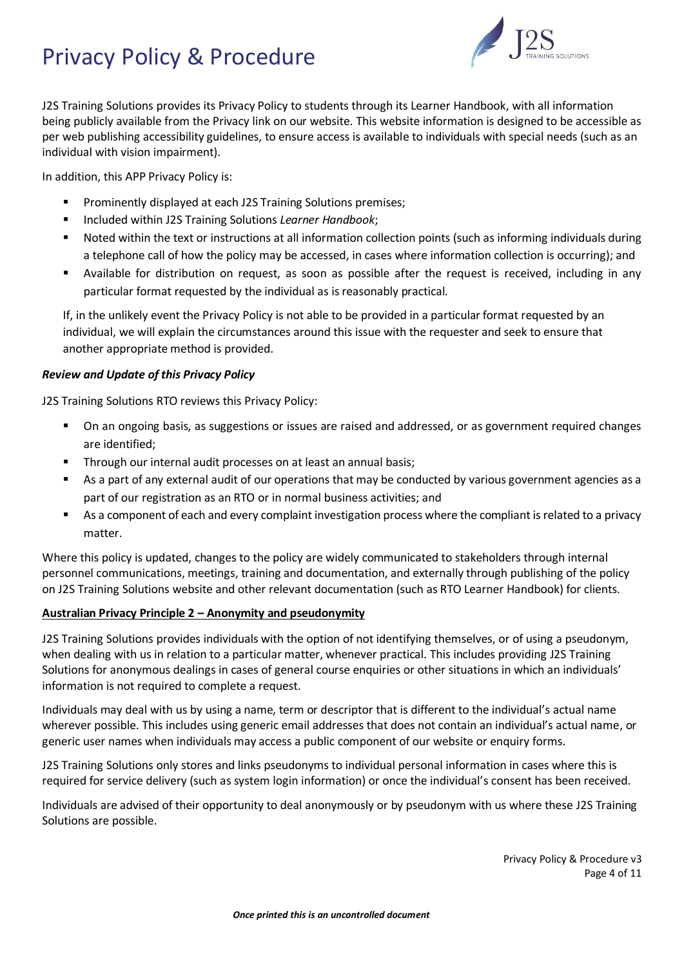

J2S Training Solutions provides its Privacy Policy to students through its Learner Handbook, with all information being publicly available from the Privacy link on our website. This website information is designed to be accessible as per web publishing accessibility guidelines, to ensure access is available to individuals with special needs (such as an individual with vision impairment).

In addition, this APP Privacy Policy is:

- Prominently displayed at each J2S Training Solutions premises;
- Included within J2S Training Solutions *Learner Handbook*;
- Noted within the text or instructions at all information collection points (such as informing individuals during a telephone call of how the policy may be accessed, in cases where information collection is occurring); and
- Available for distribution on request, as soon as possible after the request is received, including in any particular format requested by the individual as is reasonably practical.

If, in the unlikely event the Privacy Policy is not able to be provided in a particular format requested by an individual, we will explain the circumstances around this issue with the requester and seek to ensure that another appropriate method is provided.

## *Review and Update of this Privacy Policy*

J2S Training Solutions RTO reviews this Privacy Policy:

- On an ongoing basis, as suggestions or issues are raised and addressed, or as government required changes are identified;
- Through our internal audit processes on at least an annual basis;
- As a part of any external audit of our operations that may be conducted by various government agencies as a part of our registration as an RTO or in normal business activities; and
- As a component of each and every complaint investigation process where the compliant is related to a privacy matter.

Where this policy is updated, changes to the policy are widely communicated to stakeholders through internal personnel communications, meetings, training and documentation, and externally through publishing of the policy on J2S Training Solutions website and other relevant documentation (such as RTO Learner Handbook) for clients.

## **Australian Privacy Principle 2 – Anonymity and pseudonymity**

J2S Training Solutions provides individuals with the option of not identifying themselves, or of using a pseudonym, when dealing with us in relation to a particular matter, whenever practical. This includes providing J2S Training Solutions for anonymous dealings in cases of general course enquiries or other situations in which an individuals' information is not required to complete a request.

Individuals may deal with us by using a name, term or descriptor that is different to the individual's actual name wherever possible. This includes using generic email addresses that does not contain an individual's actual name, or generic user names when individuals may access a public component of our website or enquiry forms.

J2S Training Solutions only stores and links pseudonyms to individual personal information in cases where this is required for service delivery (such as system login information) or once the individual's consent has been received.

Individuals are advised of their opportunity to deal anonymously or by pseudonym with us where these J2S Training Solutions are possible.

> Privacy Policy & Procedure v3 Page 4 of 11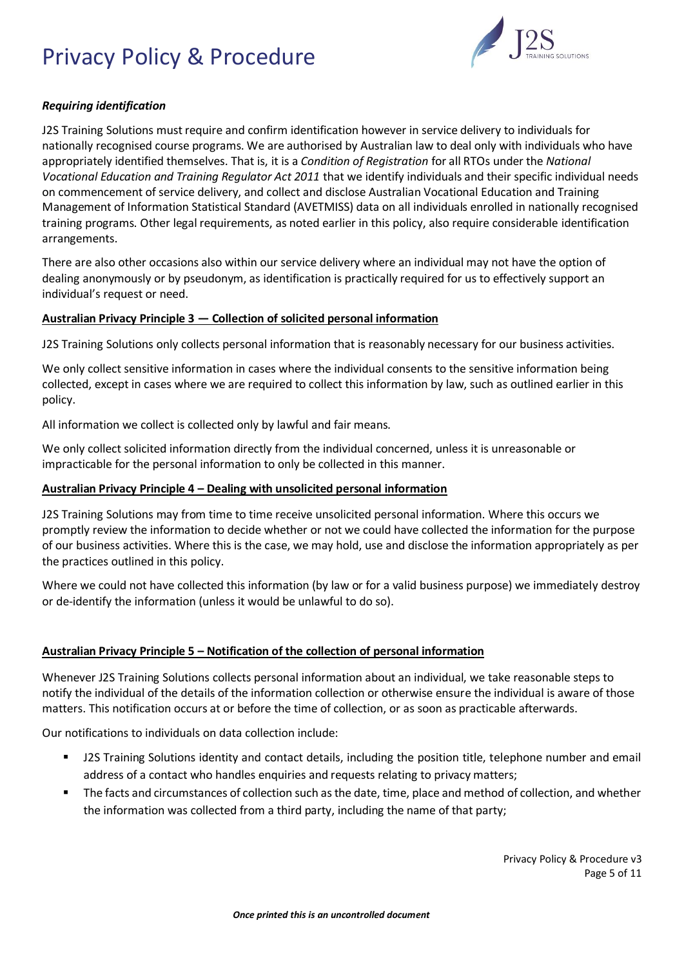

## *Requiring identification*

J2S Training Solutions must require and confirm identification however in service delivery to individuals for nationally recognised course programs. We are authorised by Australian law to deal only with individuals who have appropriately identified themselves. That is, it is a *Condition of Registration* for all RTOs under the *National Vocational Education and Training Regulator Act 2011* that we identify individuals and their specific individual needs on commencement of service delivery, and collect and disclose Australian Vocational Education and Training Management of Information Statistical Standard (AVETMISS) data on all individuals enrolled in nationally recognised training programs. Other legal requirements, as noted earlier in this policy, also require considerable identification arrangements.

There are also other occasions also within our service delivery where an individual may not have the option of dealing anonymously or by pseudonym, as identification is practically required for us to effectively support an individual's request or need.

#### **Australian Privacy Principle 3 — Collection of solicited personal information**

J2S Training Solutions only collects personal information that is reasonably necessary for our business activities.

We only collect sensitive information in cases where the individual consents to the sensitive information being collected, except in cases where we are required to collect this information by law, such as outlined earlier in this policy.

All information we collect is collected only by lawful and fair means.

We only collect solicited information directly from the individual concerned, unless it is unreasonable or impracticable for the personal information to only be collected in this manner.

#### **Australian Privacy Principle 4 – Dealing with unsolicited personal information**

J2S Training Solutions may from time to time receive unsolicited personal information. Where this occurs we promptly review the information to decide whether or not we could have collected the information for the purpose of our business activities. Where this is the case, we may hold, use and disclose the information appropriately as per the practices outlined in this policy.

Where we could not have collected this information (by law or for a valid business purpose) we immediately destroy or de-identify the information (unless it would be unlawful to do so).

## **Australian Privacy Principle 5 – Notification of the collection of personal information**

Whenever J2S Training Solutions collects personal information about an individual, we take reasonable steps to notify the individual of the details of the information collection or otherwise ensure the individual is aware of those matters. This notification occurs at or before the time of collection, or as soon as practicable afterwards.

Our notifications to individuals on data collection include:

- J2S Training Solutions identity and contact details, including the position title, telephone number and email address of a contact who handles enquiries and requests relating to privacy matters;
- The facts and circumstances of collection such as the date, time, place and method of collection, and whether the information was collected from a third party, including the name of that party;

Privacy Policy & Procedure v3 Page 5 of 11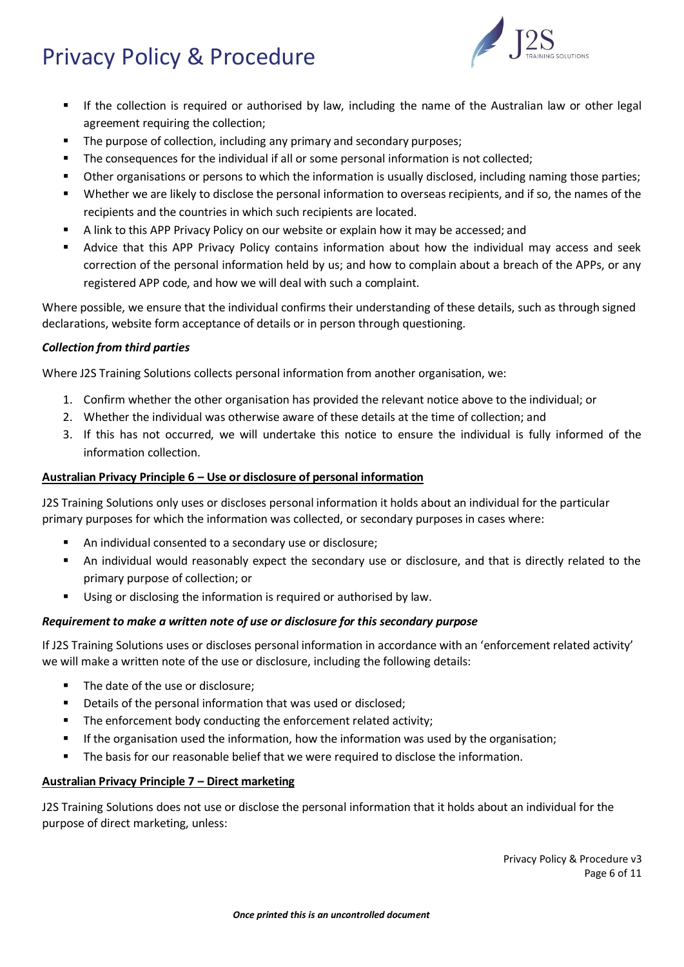

- If the collection is required or authorised by law, including the name of the Australian law or other legal agreement requiring the collection;
- The purpose of collection, including any primary and secondary purposes;
- The consequences for the individual if all or some personal information is not collected;
- Other organisations or persons to which the information is usually disclosed, including naming those parties;
- Whether we are likely to disclose the personal information to overseas recipients, and if so, the names of the recipients and the countries in which such recipients are located.
- A link to this APP Privacy Policy on our website or explain how it may be accessed; and
- **■** Advice that this APP Privacy Policy contains information about how the individual may access and seek correction of the personal information held by us; and how to complain about a breach of the APPs, or any registered APP code, and how we will deal with such a complaint.

Where possible, we ensure that the individual confirms their understanding of these details, such as through signed declarations, website form acceptance of details or in person through questioning.

## *Collection from third parties*

Where J2S Training Solutions collects personal information from another organisation, we:

- 1. Confirm whether the other organisation has provided the relevant notice above to the individual; or
- 2. Whether the individual was otherwise aware of these details at the time of collection; and
- 3. If this has not occurred, we will undertake this notice to ensure the individual is fully informed of the information collection.

## **Australian Privacy Principle 6 – Use or disclosure of personal information**

J2S Training Solutions only uses or discloses personal information it holds about an individual for the particular primary purposes for which the information was collected, or secondary purposes in cases where:

- An individual consented to a secondary use or disclosure;
- An individual would reasonably expect the secondary use or disclosure, and that is directly related to the primary purpose of collection; or
- Using or disclosing the information is required or authorised by law.

#### *Requirement to make a written note of use or disclosure for this secondary purpose*

If J2S Training Solutions uses or discloses personal information in accordance with an 'enforcement related activity' we will make a written note of the use or disclosure, including the following details:

- The date of the use or disclosure;
- Details of the personal information that was used or disclosed;
- **E** The enforcement body conducting the enforcement related activity;
- If the organisation used the information, how the information was used by the organisation;
- **•** The basis for our reasonable belief that we were required to disclose the information.

#### **Australian Privacy Principle 7 – Direct marketing**

J2S Training Solutions does not use or disclose the personal information that it holds about an individual for the purpose of direct marketing, unless:

> Privacy Policy & Procedure v3 Page 6 of 11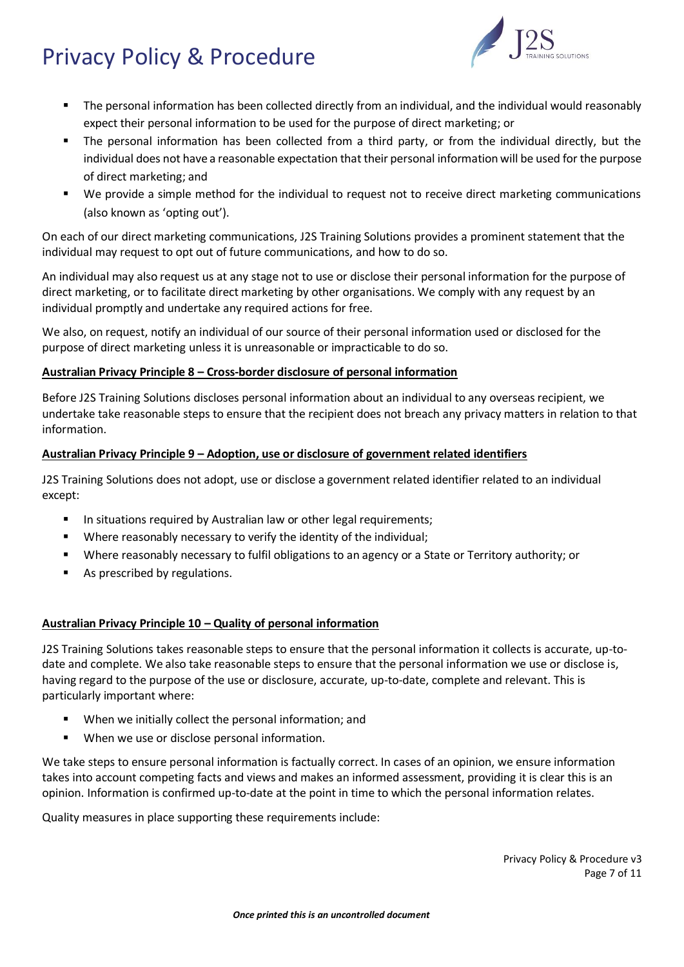

- The personal information has been collected directly from an individual, and the individual would reasonably expect their personal information to be used for the purpose of direct marketing; or
- The personal information has been collected from a third party, or from the individual directly, but the individual does not have a reasonable expectation that their personal information will be used for the purpose of direct marketing; and
- We provide a simple method for the individual to request not to receive direct marketing communications (also known as 'opting out').

On each of our direct marketing communications, J2S Training Solutions provides a prominent statement that the individual may request to opt out of future communications, and how to do so.

An individual may also request us at any stage not to use or disclose their personal information for the purpose of direct marketing, or to facilitate direct marketing by other organisations. We comply with any request by an individual promptly and undertake any required actions for free.

We also, on request, notify an individual of our source of their personal information used or disclosed for the purpose of direct marketing unless it is unreasonable or impracticable to do so.

## **Australian Privacy Principle 8 – Cross-border disclosure of personal information**

Before J2S Training Solutions discloses personal information about an individual to any overseas recipient, we undertake take reasonable steps to ensure that the recipient does not breach any privacy matters in relation to that information.

#### **Australian Privacy Principle 9 – Adoption, use or disclosure of government related identifiers**

J2S Training Solutions does not adopt, use or disclose a government related identifier related to an individual except:

- In situations required by Australian law or other legal requirements;
- Where reasonably necessary to verify the identity of the individual;
- Where reasonably necessary to fulfil obligations to an agency or a State or Territory authority; or
- As prescribed by regulations.

## **Australian Privacy Principle 10 – Quality of personal information**

J2S Training Solutions takes reasonable steps to ensure that the personal information it collects is accurate, up-todate and complete. We also take reasonable steps to ensure that the personal information we use or disclose is, having regard to the purpose of the use or disclosure, accurate, up-to-date, complete and relevant. This is particularly important where:

- When we initially collect the personal information; and
- When we use or disclose personal information.

We take steps to ensure personal information is factually correct. In cases of an opinion, we ensure information takes into account competing facts and views and makes an informed assessment, providing it is clear this is an opinion. Information is confirmed up-to-date at the point in time to which the personal information relates.

Quality measures in place supporting these requirements include: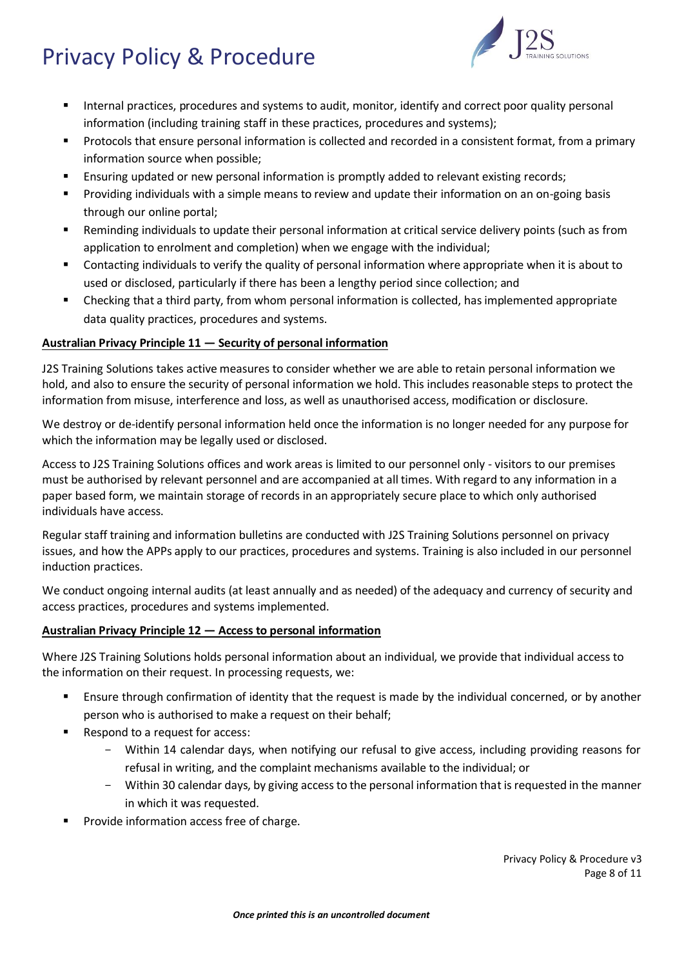

- Internal practices, procedures and systems to audit, monitor, identify and correct poor quality personal information (including training staff in these practices, procedures and systems);
- Protocols that ensure personal information is collected and recorded in a consistent format, from a primary information source when possible;
- **E** Ensuring updated or new personal information is promptly added to relevant existing records;
- Providing individuals with a simple means to review and update their information on an on-going basis through our online portal;
- Reminding individuals to update their personal information at critical service delivery points (such as from application to enrolment and completion) when we engage with the individual;
- Contacting individuals to verify the quality of personal information where appropriate when it is about to used or disclosed, particularly if there has been a lengthy period since collection; and
- Checking that a third party, from whom personal information is collected, has implemented appropriate data quality practices, procedures and systems.

## **Australian Privacy Principle 11 — Security of personal information**

J2S Training Solutions takes active measures to consider whether we are able to retain personal information we hold, and also to ensure the security of personal information we hold. This includes reasonable steps to protect the information from misuse, interference and loss, as well as unauthorised access, modification or disclosure.

We destroy or de-identify personal information held once the information is no longer needed for any purpose for which the information may be legally used or disclosed.

Access to J2S Training Solutions offices and work areas is limited to our personnel only - visitors to our premises must be authorised by relevant personnel and are accompanied at all times. With regard to any information in a paper based form, we maintain storage of records in an appropriately secure place to which only authorised individuals have access.

Regular staff training and information bulletins are conducted with J2S Training Solutions personnel on privacy issues, and how the APPs apply to our practices, procedures and systems. Training is also included in our personnel induction practices.

We conduct ongoing internal audits (at least annually and as needed) of the adequacy and currency of security and access practices, procedures and systems implemented.

#### **Australian Privacy Principle 12 — Access to personal information**

Where J2S Training Solutions holds personal information about an individual, we provide that individual access to the information on their request. In processing requests, we:

- Ensure through confirmation of identity that the request is made by the individual concerned, or by another person who is authorised to make a request on their behalf;
- Respond to a request for access:
	- Within 14 calendar days, when notifying our refusal to give access, including providing reasons for refusal in writing, and the complaint mechanisms available to the individual; or
	- Within 30 calendar days, by giving access to the personal information that is requested in the manner in which it was requested.
- Provide information access free of charge.

Privacy Policy & Procedure v3 Page 8 of 11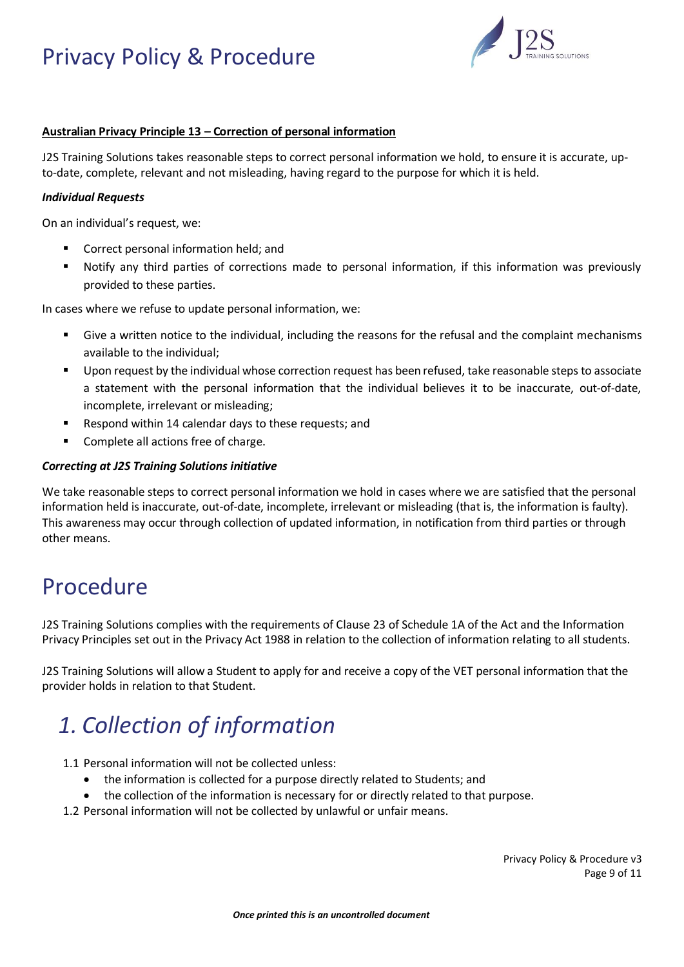

## **Australian Privacy Principle 13 – Correction of personal information**

J2S Training Solutions takes reasonable steps to correct personal information we hold, to ensure it is accurate, upto-date, complete, relevant and not misleading, having regard to the purpose for which it is held.

#### *Individual Requests*

On an individual's request, we:

- Correct personal information held; and
- Notify any third parties of corrections made to personal information, if this information was previously provided to these parties.

In cases where we refuse to update personal information, we:

- Give a written notice to the individual, including the reasons for the refusal and the complaint mechanisms available to the individual;
- Upon request by the individual whose correction request has been refused, take reasonable steps to associate a statement with the personal information that the individual believes it to be inaccurate, out-of-date, incomplete, irrelevant or misleading;
- Respond within 14 calendar days to these requests; and
- Complete all actions free of charge.

## *Correcting at J2S Training Solutions initiative*

We take reasonable steps to correct personal information we hold in cases where we are satisfied that the personal information held is inaccurate, out-of-date, incomplete, irrelevant or misleading (that is, the information is faulty). This awareness may occur through collection of updated information, in notification from third parties or through other means.

## Procedure

J2S Training Solutions complies with the requirements of Clause 23 of Schedule 1A of the Act and the Information Privacy Principles set out in the Privacy Act 1988 in relation to the collection of information relating to all students.

J2S Training Solutions will allow a Student to apply for and receive a copy of the VET personal information that the provider holds in relation to that Student.

# *1. Collection of information*

- 1.1 Personal information will not be collected unless:
	- the information is collected for a purpose directly related to Students; and
	- the collection of the information is necessary for or directly related to that purpose.
- 1.2 Personal information will not be collected by unlawful or unfair means.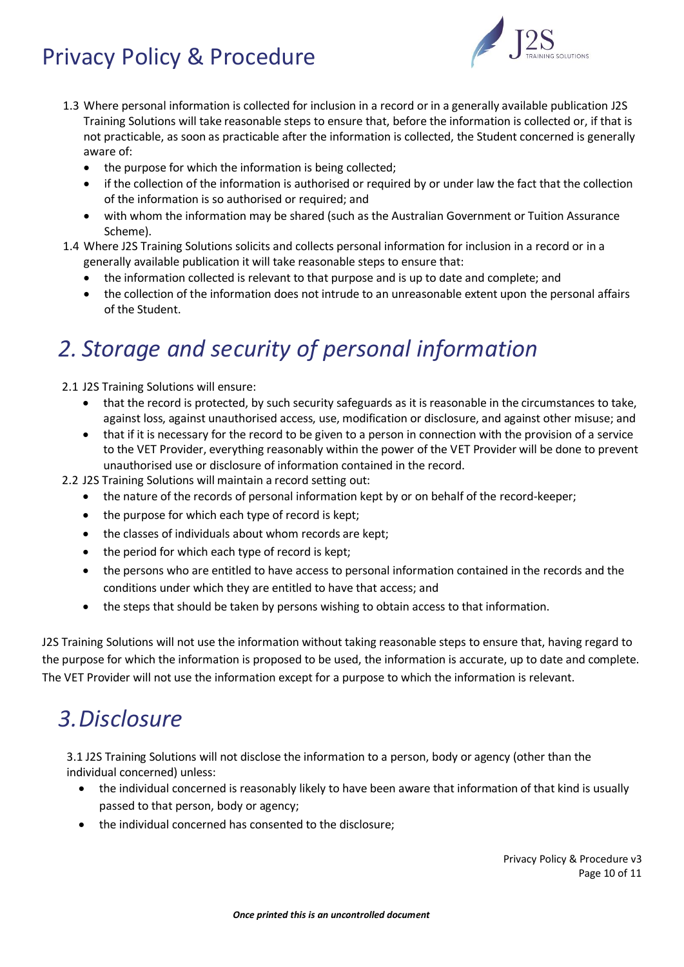

- 1.3 Where personal information is collected for inclusion in a record or in a generally available publication J2S Training Solutions will take reasonable steps to ensure that, before the information is collected or, if that is not practicable, as soon as practicable after the information is collected, the Student concerned is generally aware of:
	- the purpose for which the information is being collected;
	- if the collection of the information is authorised or required by or under law the fact that the collection of the information is so authorised or required; and
	- with whom the information may be shared (such as the Australian Government or Tuition Assurance Scheme).
- 1.4 Where J2S Training Solutions solicits and collects personal information for inclusion in a record or in a generally available publication it will take reasonable steps to ensure that:
	- the information collected is relevant to that purpose and is up to date and complete; and
	- the collection of the information does not intrude to an unreasonable extent upon the personal affairs of the Student.

# *2. Storage and security of personal information*

2.1 J2S Training Solutions will ensure:

- that the record is protected, by such security safeguards as it is reasonable in the circumstances to take, against loss, against unauthorised access, use, modification or disclosure, and against other misuse; and
- that if it is necessary for the record to be given to a person in connection with the provision of a service to the VET Provider, everything reasonably within the power of the VET Provider will be done to prevent unauthorised use or disclosure of information contained in the record.

2.2 J2S Training Solutions will maintain a record setting out:

- the nature of the records of personal information kept by or on behalf of the record-keeper;
- the purpose for which each type of record is kept;
- the classes of individuals about whom records are kept;
- the period for which each type of record is kept;
- the persons who are entitled to have access to personal information contained in the records and the conditions under which they are entitled to have that access; and
- the steps that should be taken by persons wishing to obtain access to that information.

J2S Training Solutions will not use the information without taking reasonable steps to ensure that, having regard to the purpose for which the information is proposed to be used, the information is accurate, up to date and complete. The VET Provider will not use the information except for a purpose to which the information is relevant.

# *3.Disclosure*

3.1 J2S Training Solutions will not disclose the information to a person, body or agency (other than the individual concerned) unless:

- the individual concerned is reasonably likely to have been aware that information of that kind is usually passed to that person, body or agency;
- the individual concerned has consented to the disclosure;